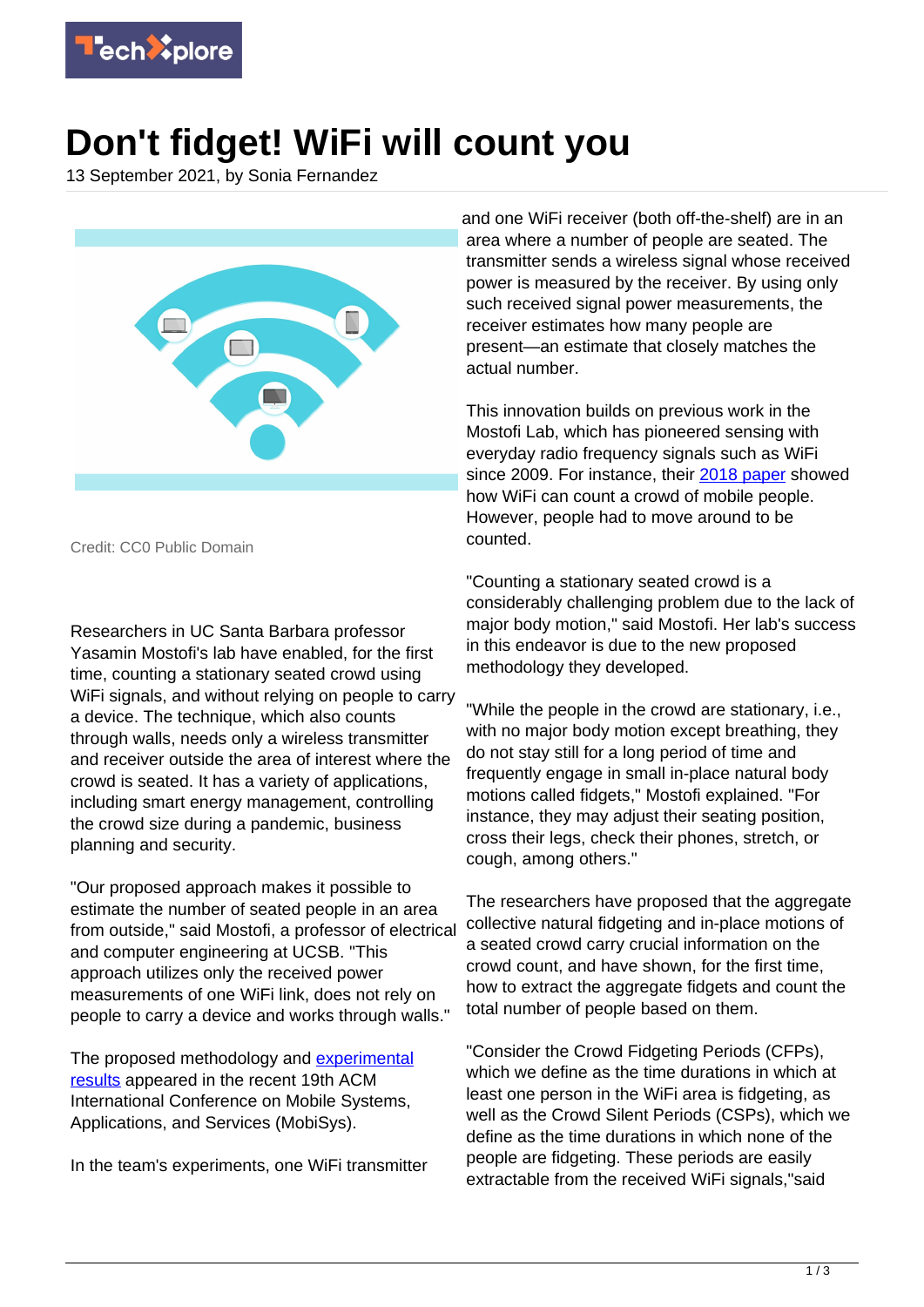

## **Don't fidget! WiFi will count you**

13 September 2021, by Sonia Fernandez



Credit: CC0 Public Domain

Researchers in UC Santa Barbara professor Yasamin Mostofi's lab have enabled, for the first time, counting a stationary seated crowd using WiFi signals, and without relying on people to carry a device. The technique, which also counts through walls, needs only a wireless transmitter and receiver outside the area of interest where the crowd is seated. It has a variety of applications, including smart energy management, controlling the crowd size during a pandemic, business planning and security.

"Our proposed approach makes it possible to estimate the number of seated people in an area from outside," said Mostofi, a professor of electrical and computer engineering at UCSB. "This approach utilizes only the received power measurements of one WiFi link, does not rely on people to carry a device and works through walls."

The proposed methodology and [experimental](https://techxplore.com/tags/experimental+results/) [results](https://techxplore.com/tags/experimental+results/) appeared in the recent 19th ACM International Conference on Mobile Systems, Applications, and Services (MobiSys).

In the team's experiments, one WiFi transmitter

and one WiFi receiver (both off-the-shelf) are in an area where a number of people are seated. The transmitter sends a wireless signal whose received power is measured by the receiver. By using only such received signal power measurements, the receiver estimates how many people are present—an estimate that closely matches the actual number.

This innovation builds on previous work in the Mostofi Lab, which has pioneered sensing with everyday radio frequency signals such as WiFi since 2009. For instance, their [2018 paper](https://web.ece.ucsb.edu/~ymostofi/papers/Percom18_DepatlaMostofi.pdf) showed how WiFi can count a crowd of mobile people. However, people had to move around to be counted.

"Counting a stationary seated crowd is a considerably challenging problem due to the lack of major body motion," said Mostofi. Her lab's success in this endeavor is due to the new proposed methodology they developed.

"While the people in the crowd are stationary, i.e., with no major body motion except breathing, they do not stay still for a long period of time and frequently engage in small in-place natural body motions called fidgets," Mostofi explained. "For instance, they may adjust their seating position, cross their legs, check their phones, stretch, or cough, among others."

The researchers have proposed that the aggregate collective natural fidgeting and in-place motions of a seated crowd carry crucial information on the crowd count, and have shown, for the first time, how to extract the aggregate fidgets and count the total number of people based on them.

"Consider the Crowd Fidgeting Periods (CFPs), which we define as the time durations in which at least one person in the WiFi area is fidgeting, as well as the Crowd Silent Periods (CSPs), which we define as the time durations in which none of the people are fidgeting. These periods are easily extractable from the received WiFi signals,"said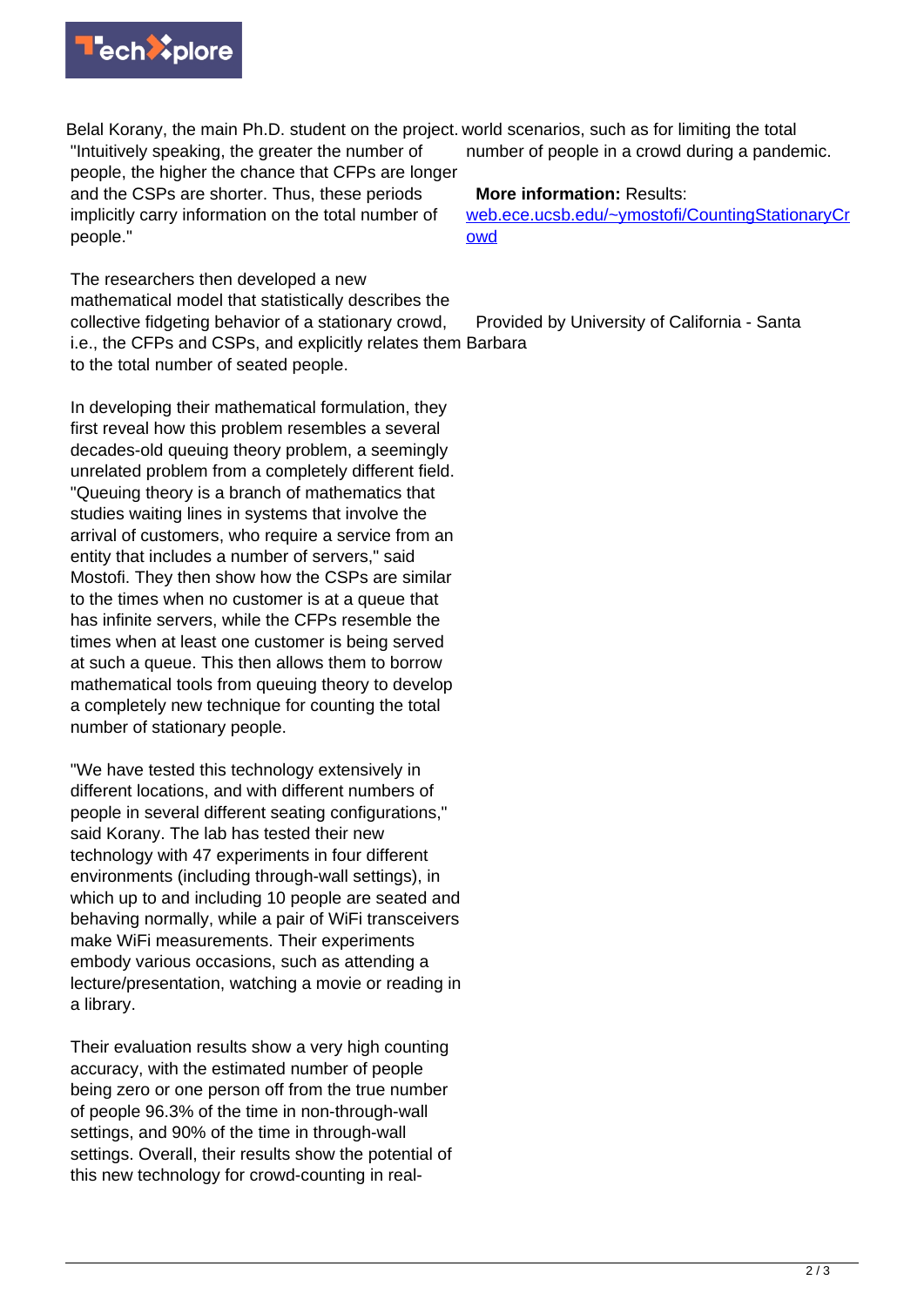

Belal Korany, the main Ph.D. student on the project. world scenarios, such as for limiting the total "Intuitively speaking, the greater the number of people, the higher the chance that CFPs are longer and the CSPs are shorter. Thus, these periods implicitly carry information on the total number of people."

The researchers then developed a new mathematical model that statistically describes the collective fidgeting behavior of a stationary crowd, i.e., the CFPs and CSPs, and explicitly relates them Barbara to the total number of seated people.

In developing their mathematical formulation, they first reveal how this problem resembles a several decades-old queuing theory problem, a seemingly unrelated problem from a completely different field. "Queuing theory is a branch of mathematics that studies waiting lines in systems that involve the arrival of customers, who require a service from an entity that includes a number of servers," said Mostofi. They then show how the CSPs are similar to the times when no customer is at a queue that has infinite servers, while the CFPs resemble the times when at least one customer is being served at such a queue. This then allows them to borrow mathematical tools from queuing theory to develop a completely new technique for counting the total number of stationary people.

"We have tested this technology extensively in different locations, and with different numbers of people in several different seating configurations," said Korany. The lab has tested their new technology with 47 experiments in four different environments (including through-wall settings), in which up to and including 10 people are seated and behaving normally, while a pair of WiFi transceivers make WiFi measurements. Their experiments embody various occasions, such as attending a lecture/presentation, watching a movie or reading in a library.

Their evaluation results show a very high counting accuracy, with the estimated number of people being zero or one person off from the true number of people 96.3% of the time in non-through-wall settings, and 90% of the time in through-wall settings. Overall, their results show the potential of this new technology for crowd-counting in real-

number of people in a crowd during a pandemic.

## **More information:** Results:

[web.ece.ucsb.edu/~ymostofi/CountingStationaryCr](https://web.ece.ucsb.edu/~ymostofi/CountingStationaryCrowd) [owd](https://web.ece.ucsb.edu/~ymostofi/CountingStationaryCrowd)

Provided by University of California - Santa